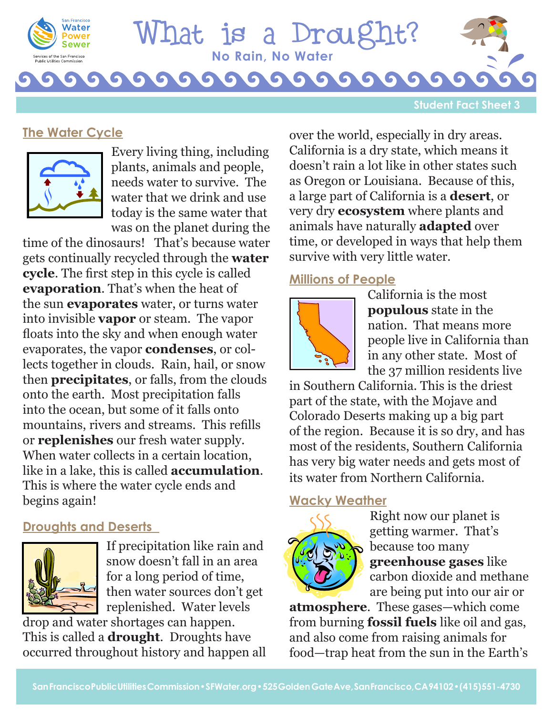

# **No Rain, No Water** hat is a Droug

**Student Fact Sheet 3**

### **The Water Cycle**



Every living thing, including plants, animals and people, needs water to survive. The water that we drink and use today is the same water that was on the planet during the

time of the dinosaurs! That's because water gets continually recycled through the **water cycle**. The first step in this cycle is called **evaporation**. That's when the heat of the sun **evaporates** water, or turns water into invisible **vapor** or steam. The vapor floats into the sky and when enough water evaporates, the vapor **condenses**, or collects together in clouds. Rain, hail, or snow then **precipitates**, or falls, from the clouds onto the earth. Most precipitation falls into the ocean, but some of it falls onto mountains, rivers and streams. This refills or **replenishes** our fresh water supply. When water collects in a certain location. like in a lake, this is called **accumulation**. This is where the water cycle ends and begins again!

#### **Droughts and Deserts**



If precipitation like rain and snow doesn't fall in an area for a long period of time, then water sources don't get replenished. Water levels

drop and water shortages can happen. This is called a **drought**. Droughts have occurred throughout history and happen all over the world, especially in dry areas. California is a dry state, which means it doesn't rain a lot like in other states such as Oregon or Louisiana. Because of this, a large part of California is a **desert**, or very dry **ecosystem** where plants and animals have naturally **adapted** over time, or developed in ways that help them survive with very little water.

## **Millions of People**



California is the most **populous** state in the nation. That means more people live in California than in any other state. Most of the 37 million residents live

in Southern California. This is the driest part of the state, with the Mojave and Colorado Deserts making up a big part of the region. Because it is so dry, and has most of the residents, Southern California has very big water needs and gets most of its water from Northern California.

#### **Wacky Weather**



Right now our planet is getting warmer. That's because too many **greenhouse gases** like carbon dioxide and methane are being put into our air or

**atmosphere**. These gases—which come from burning **fossil fuels** like oil and gas, and also come from raising animals for food—trap heat from the sun in the Earth's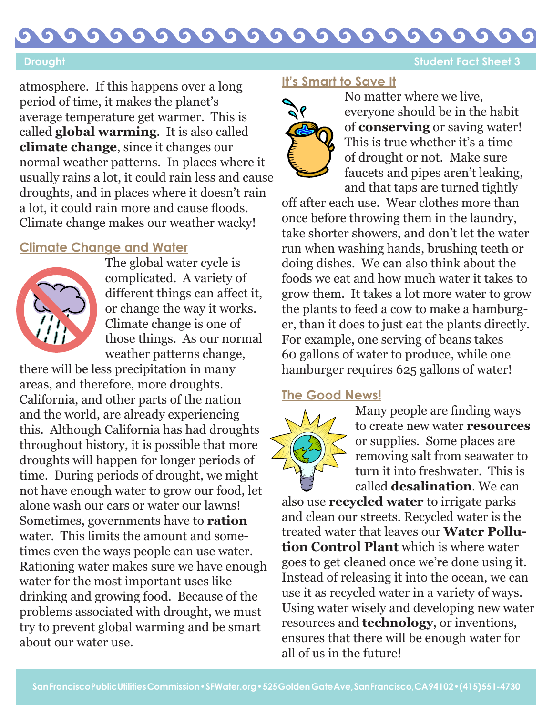#### G G G G G  $\bullet$ G  $\bullet$ G

**Drought Student Fact Sheet 3** 

atmosphere. If this happens over a long period of time, it makes the planet's average temperature get warmer. This is called **global warming**. It is also called **climate change**, since it changes our normal weather patterns. In places where it usually rains a lot, it could rain less and cause droughts, and in places where it doesn't rain a lot, it could rain more and cause floods. Climate change makes our weather wacky!

### **Climate Change and Water**



The global water cycle is complicated. A variety of different things can affect it, or change the way it works. Climate change is one of those things. As our normal weather patterns change,

there will be less precipitation in many areas, and therefore, more droughts. California, and other parts of the nation and the world, are already experiencing this. Although California has had droughts throughout history, it is possible that more droughts will happen for longer periods of time. During periods of drought, we might not have enough water to grow our food, let alone wash our cars or water our lawns! Sometimes, governments have to **ration**  water. This limits the amount and sometimes even the ways people can use water. Rationing water makes sure we have enough water for the most important uses like drinking and growing food. Because of the problems associated with drought, we must try to prevent global warming and be smart about our water use.

#### **It's Smart to Save It**



No matter where we live, everyone should be in the habit of **conserving** or saving water! This is true whether it's a time of drought or not. Make sure faucets and pipes aren't leaking, and that taps are turned tightly

off after each use. Wear clothes more than once before throwing them in the laundry, take shorter showers, and don't let the water run when washing hands, brushing teeth or doing dishes. We can also think about the foods we eat and how much water it takes to grow them. It takes a lot more water to grow the plants to feed a cow to make a hamburger, than it does to just eat the plants directly. For example, one serving of beans takes 60 gallons of water to produce, while one hamburger requires 625 gallons of water!

#### **The Good News!**



Many people are finding ways to create new water **resources** or supplies. Some places are removing salt from seawater to turn it into freshwater. This is called **desalination**. We can

also use **recycled water** to irrigate parks and clean our streets. Recycled water is the treated water that leaves our **Water Pollution Control Plant** which is where water goes to get cleaned once we're done using it. Instead of releasing it into the ocean, we can use it as recycled water in a variety of ways. Using water wisely and developing new water resources and **technology**, or inventions, ensures that there will be enough water for all of us in the future!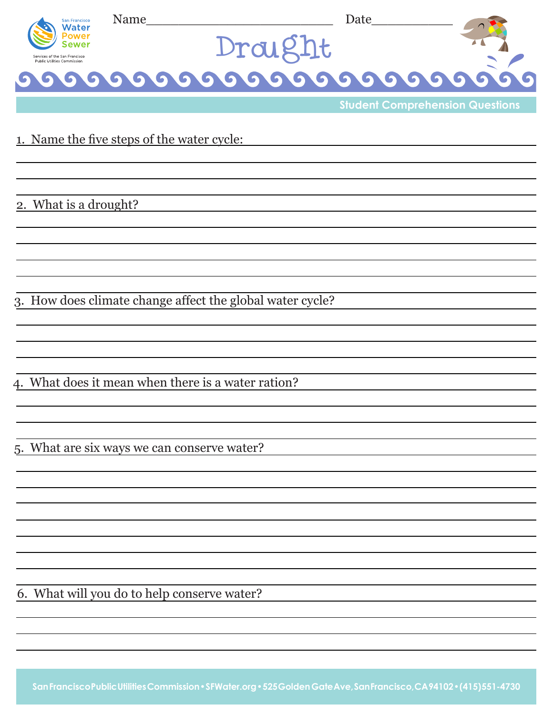| San Francisco<br><b>Water</b>                                | Name    | Date                                   |  |
|--------------------------------------------------------------|---------|----------------------------------------|--|
|                                                              | Drought |                                        |  |
| Services of the San Francisco<br>Public Utilities Commission |         |                                        |  |
|                                                              |         |                                        |  |
|                                                              |         | <b>Student Comprehension Questions</b> |  |

#### 1. Name the five steps of the water cycle:

2. What is a drought?

3. How does climate change affect the global water cycle?

4. What does it mean when there is a water ration?

5. What are six ways we can conserve water?

6. What will you do to help conserve water?

**San Francisco Public Utilities Commission • SFWater.org • 525 Golden Gate Ave, San Francisco, CA 94102 • (415) 551-4730**